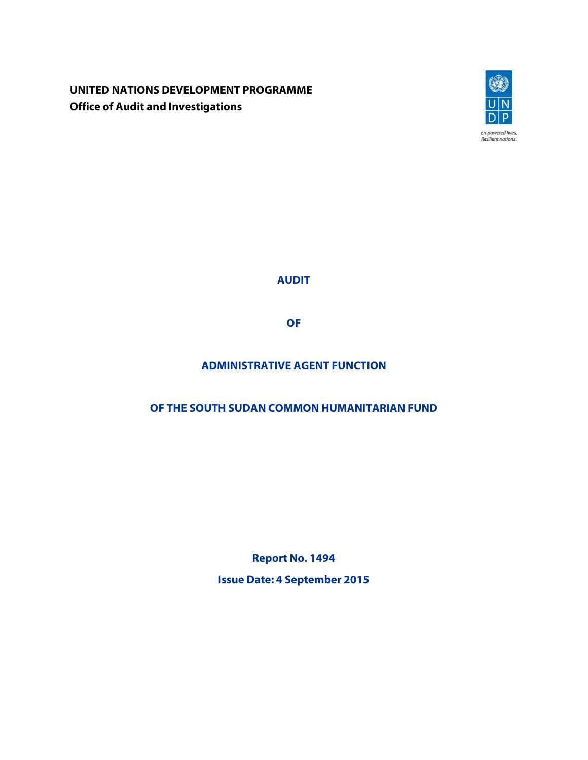**UNITED NATIONS DEVELOPMENT PROGRAMME Office of Audit and Investigations**



**AUDIT**

**OF**

# **ADMINISTRATIVE AGENT FUNCTION**

# **OF THE SOUTH SUDAN COMMON HUMANITARIAN FUND**

**Report No. 1494 Issue Date: 4 September 2015**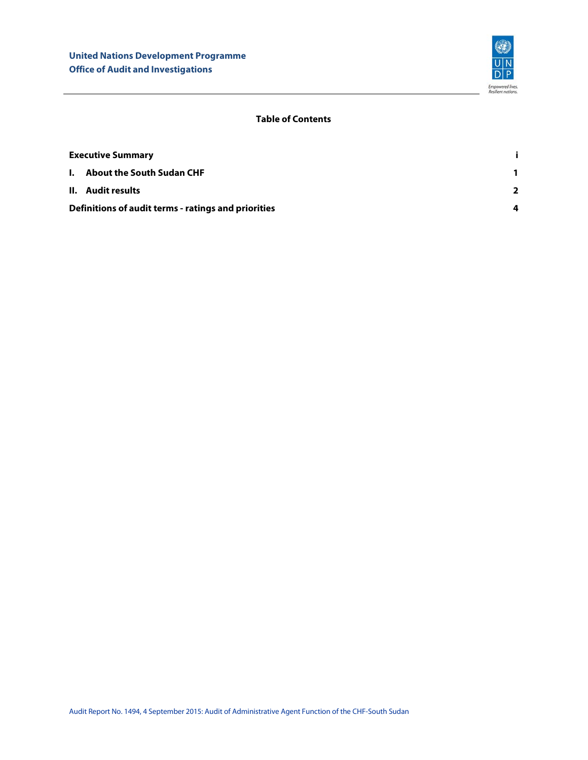

## **Table of Contents**

| <b>Executive Summary</b>                            |                |
|-----------------------------------------------------|----------------|
| <b>I.</b> About the South Sudan CHF                 | 1.             |
| II. Audit results                                   | $\overline{2}$ |
| Definitions of audit terms - ratings and priorities |                |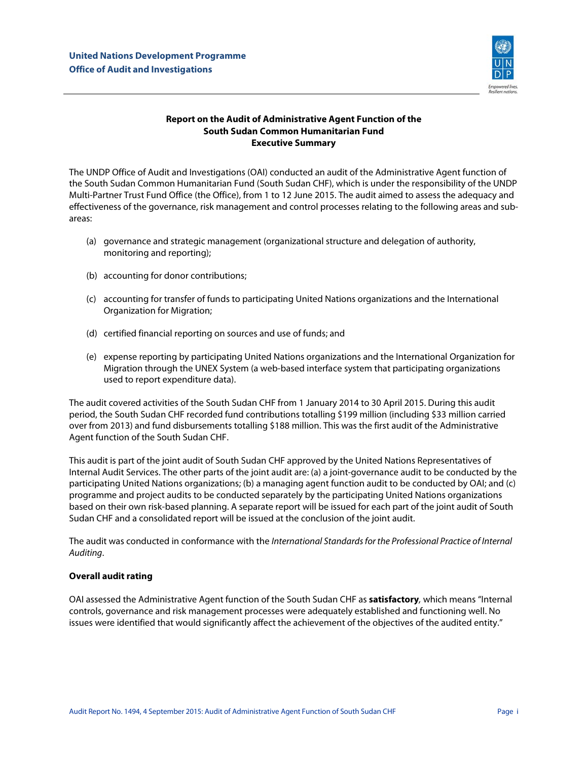

## **Report on the Audit of Administrative Agent Function of the South Sudan Common Humanitarian Fund Executive Summary**

<span id="page-2-0"></span>The UNDP Office of Audit and Investigations (OAI) conducted an audit of the Administrative Agent function of the South Sudan Common Humanitarian Fund (South Sudan CHF), which is under the responsibility of the UNDP Multi-Partner Trust Fund Office (the Office), from 1 to 12 June 2015. The audit aimed to assess the adequacy and effectiveness of the governance, risk management and control processes relating to the following areas and subareas:

- (a) governance and strategic management (organizational structure and delegation of authority, monitoring and reporting);
- (b) accounting for donor contributions;
- (c) accounting for transfer of funds to participating United Nations organizations and the International Organization for Migration;
- (d) certified financial reporting on sources and use of funds; and
- (e) expense reporting by participating United Nations organizations and the International Organization for Migration through the UNEX System (a web-based interface system that participating organizations used to report expenditure data).

The audit covered activities of the South Sudan CHF from 1 January 2014 to 30 April 2015. During this audit period, the South Sudan CHF recorded fund contributions totalling \$199 million (including \$33 million carried over from 2013) and fund disbursements totalling \$188 million. This was the first audit of the Administrative Agent function of the South Sudan CHF.

This audit is part of the joint audit of South Sudan CHF approved by the United Nations Representatives of Internal Audit Services. The other parts of the joint audit are: (a) a joint-governance audit to be conducted by the participating United Nations organizations; (b) a managing agent function audit to be conducted by OAI; and (c) programme and project audits to be conducted separately by the participating United Nations organizations based on their own risk-based planning. A separate report will be issued for each part of the joint audit of South Sudan CHF and a consolidated report will be issued at the conclusion of the joint audit.

The audit was conducted in conformance with the *International Standards for the Professional Practice of Internal Auditing*.

## **Overall audit rating**

OAI assessed the Administrative Agent function of the South Sudan CHF as **satisfactory***,* which means "Internal controls, governance and risk management processes were adequately established and functioning well. No issues were identified that would significantly affect the achievement of the objectives of the audited entity."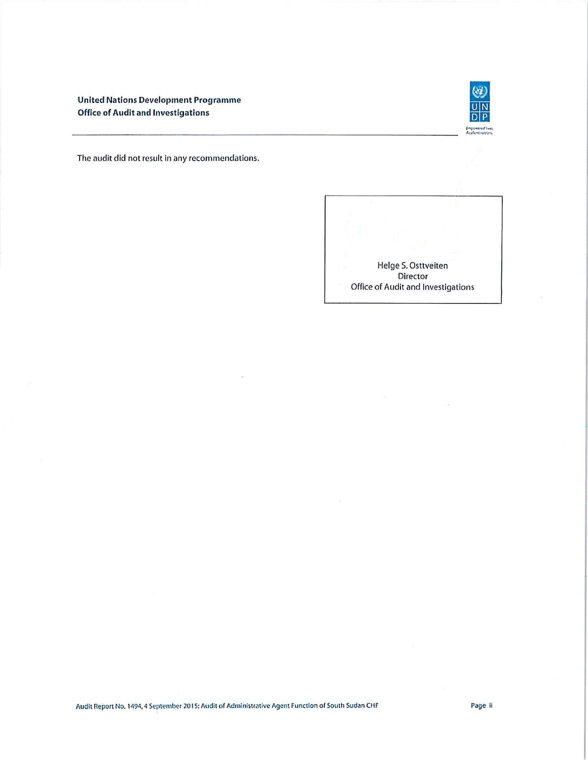**United Nations Development Programme Office of Audit and Investigations** 



The audit did not result in any recommendations.



 $\bar{\alpha}$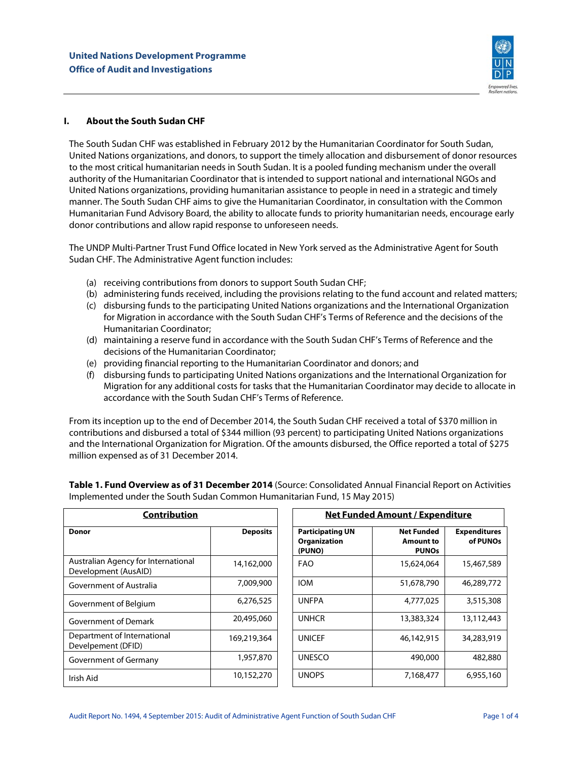

### <span id="page-4-0"></span>**I. About the South Sudan CHF**

The South Sudan CHF was established in February 2012 by the Humanitarian Coordinator for South Sudan, United Nations organizations, and donors, to support the timely allocation and disbursement of donor resources to the most critical humanitarian needs in South Sudan. It is a pooled funding mechanism under the overall authority of the Humanitarian Coordinator that is intended to support national and international NGOs and United Nations organizations, providing humanitarian assistance to people in need in a strategic and timely manner. The South Sudan CHF aims to give the Humanitarian Coordinator, in consultation with the Common Humanitarian Fund Advisory Board, the ability to allocate funds to priority humanitarian needs, encourage early donor contributions and allow rapid response to unforeseen needs.

The UNDP Multi-Partner Trust Fund Office located in New York served as the Administrative Agent for South Sudan CHF. The Administrative Agent function includes:

- (a) receiving contributions from donors to support South Sudan CHF;
- (b) administering funds received, including the provisions relating to the fund account and related matters;
- (c) disbursing funds to the participating United Nations organizations and the International Organization for Migration in accordance with the South Sudan CHF's Terms of Reference and the decisions of the Humanitarian Coordinator;
- (d) maintaining a reserve fund in accordance with the South Sudan CHF's Terms of Reference and the decisions of the Humanitarian Coordinator;
- (e) providing financial reporting to the Humanitarian Coordinator and donors; and
- (f) disbursing funds to participating United Nations organizations and the International Organization for Migration for any additional costs for tasks that the Humanitarian Coordinator may decide to allocate in accordance with the South Sudan CHF's Terms of Reference.

From its inception up to the end of December 2014, the South Sudan CHF received a total of \$370 million in contributions and disbursed a total of \$344 million (93 percent) to participating United Nations organizations and the International Organization for Migration. Of the amounts disbursed, the Office reported a total of \$275 million expensed as of 31 December 2014.

| <b>Contribution</b>                                         |                 |            | Net Funded Amount / Expenditure                          |                                                                                          |            |  |
|-------------------------------------------------------------|-----------------|------------|----------------------------------------------------------|------------------------------------------------------------------------------------------|------------|--|
| <b>Donor</b>                                                | <b>Deposits</b> |            | <b>Participating UN</b><br><b>Organization</b><br>(PUNO) | <b>Net Funded</b><br><b>Expenditures</b><br>of PUNOs<br><b>Amount to</b><br><b>PUNOs</b> |            |  |
| Australian Agency for International<br>Development (AusAID) | 14,162,000      | <b>FAO</b> |                                                          | 15,624,064                                                                               | 15,467,589 |  |
| Government of Australia                                     | 7,009,900       | <b>IOM</b> |                                                          | 51,678,790                                                                               | 46,289,772 |  |
| Government of Belgium                                       | 6,276,525       |            | <b>UNFPA</b>                                             | 4,777,025                                                                                | 3,515,308  |  |
| Government of Demark                                        | 20,495,060      |            | <b>UNHCR</b>                                             | 13,383,324                                                                               | 13,112,443 |  |
| Department of International<br>Develpement (DFID)           | 169,219,364     |            | <b>UNICEF</b>                                            | 46,142,915                                                                               | 34,283,919 |  |
| Government of Germany                                       | 1,957,870       |            | <b>UNESCO</b>                                            | 490,000                                                                                  | 482,880    |  |
| 10,152,270<br>Irish Aid                                     |                 |            | <b>UNOPS</b>                                             | 7,168,477                                                                                | 6,955,160  |  |

**Table 1. Fund Overview as of 31 December 2014** (Source: Consolidated Annual Financial Report on Activities Implemented under the South Sudan Common Humanitarian Fund, 15 May 2015)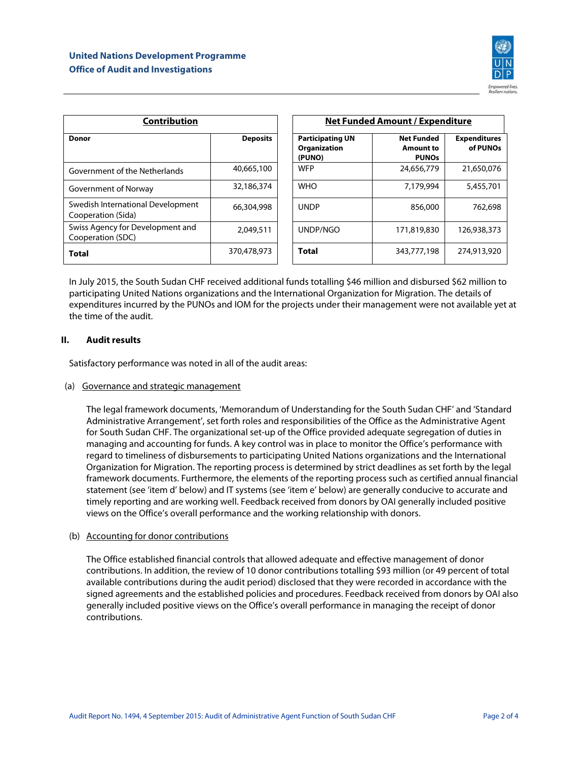

| <b>Contribution</b>                                                   |                 |  | <b>Net Funded Amount / Expenditure</b>            |                                                |                                 |  |
|-----------------------------------------------------------------------|-----------------|--|---------------------------------------------------|------------------------------------------------|---------------------------------|--|
| <b>Donor</b>                                                          | <b>Deposits</b> |  | <b>Participating UN</b><br>Organization<br>(PUNO) | <b>Net Funded</b><br>Amount to<br><b>PUNOs</b> | <b>Expenditures</b><br>of PUNOs |  |
| Government of the Netherlands                                         | 40,665,100      |  | <b>WFP</b>                                        | 24,656,779                                     | 21,650,076                      |  |
| Government of Norway                                                  | 32,186,374      |  | <b>WHO</b>                                        | 7,179,994                                      | 5,455,701                       |  |
| Swedish International Development<br>66,304,998<br>Cooperation (Sida) |                 |  | <b>UNDP</b>                                       | 856,000                                        | 762,698                         |  |
| Swiss Agency for Development and<br>Cooperation (SDC)                 | 2,049,511       |  | UNDP/NGO                                          | 171,819,830                                    | 126,938,373                     |  |
| <b>Total</b>                                                          | 370,478,973     |  | <b>Total</b>                                      | 343,777,198                                    | 274,913,920                     |  |

In July 2015, the South Sudan CHF received additional funds totalling \$46 million and disbursed \$62 million to participating United Nations organizations and the International Organization for Migration. The details of expenditures incurred by the PUNOs and IOM for the projects under their management were not available yet at the time of the audit.

## <span id="page-5-0"></span>**II. Audit results**

Satisfactory performance was noted in all of the audit areas:

#### (a) Governance and strategic management

The legal framework documents, 'Memorandum of Understanding for the South Sudan CHF' and 'Standard Administrative Arrangement', set forth roles and responsibilities of the Office as the Administrative Agent for South Sudan CHF. The organizational set-up of the Office provided adequate segregation of duties in managing and accounting for funds. A key control was in place to monitor the Office's performance with regard to timeliness of disbursements to participating United Nations organizations and the International Organization for Migration. The reporting process is determined by strict deadlines as set forth by the legal framework documents. Furthermore, the elements of the reporting process such as certified annual financial statement (see 'item d' below) and IT systems (see 'item e' below) are generally conducive to accurate and timely reporting and are working well. Feedback received from donors by OAI generally included positive views on the Office's overall performance and the working relationship with donors.

#### (b) Accounting for donor contributions

The Office established financial controls that allowed adequate and effective management of donor contributions. In addition, the review of 10 donor contributions totalling \$93 million (or 49 percent of total available contributions during the audit period) disclosed that they were recorded in accordance with the signed agreements and the established policies and procedures. Feedback received from donors by OAI also generally included positive views on the Office's overall performance in managing the receipt of donor contributions.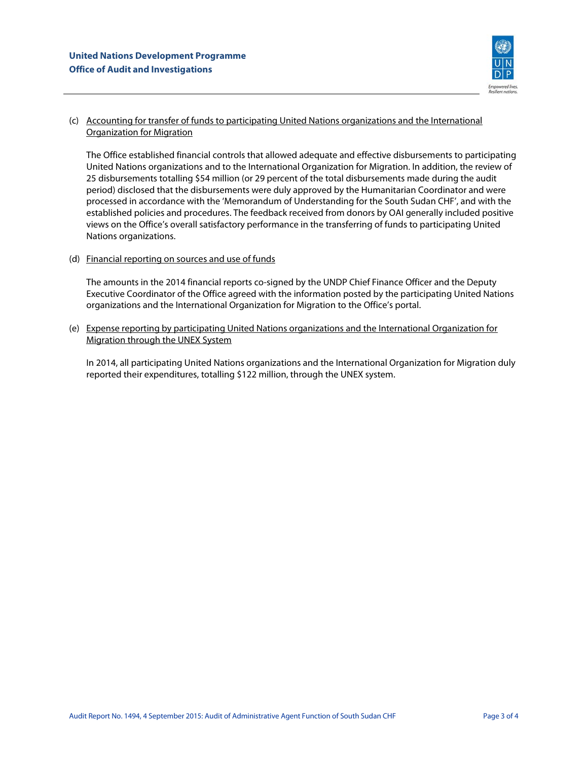

## (c) Accounting for transfer of funds to participating United Nations organizations and the International Organization for Migration

The Office established financial controls that allowed adequate and effective disbursements to participating United Nations organizations and to the International Organization for Migration. In addition, the review of 25 disbursements totalling \$54 million (or 29 percent of the total disbursements made during the audit period) disclosed that the disbursements were duly approved by the Humanitarian Coordinator and were processed in accordance with the 'Memorandum of Understanding for the South Sudan CHF', and with the established policies and procedures. The feedback received from donors by OAI generally included positive views on the Office's overall satisfactory performance in the transferring of funds to participating United Nations organizations.

#### (d) Financial reporting on sources and use of funds

The amounts in the 2014 financial reports co-signed by the UNDP Chief Finance Officer and the Deputy Executive Coordinator of the Office agreed with the information posted by the participating United Nations organizations and the International Organization for Migration to the Office's portal.

(e) Expense reporting by participating United Nations organizations and the International Organization for Migration through the UNEX System

In 2014, all participating United Nations organizations and the International Organization for Migration duly reported their expenditures, totalling \$122 million, through the UNEX system.